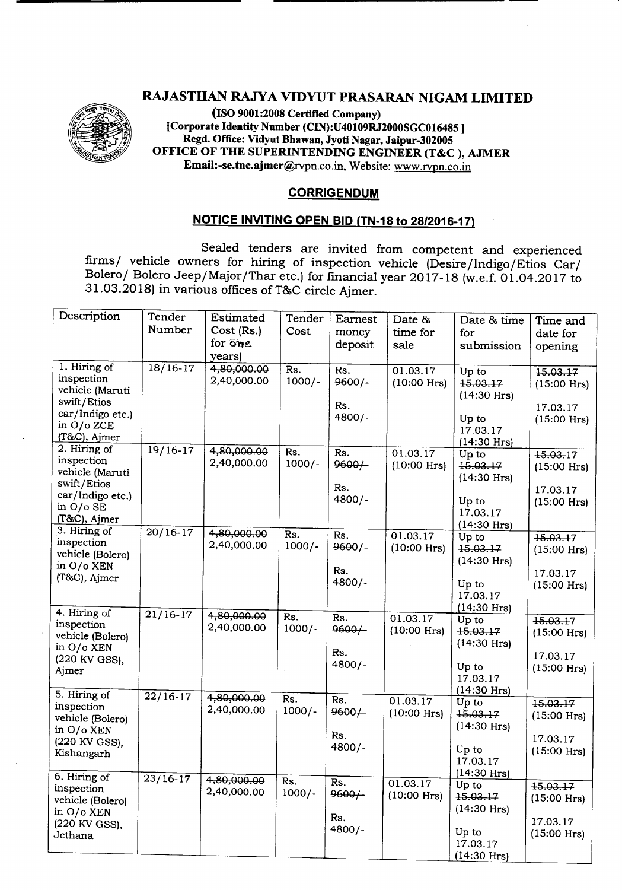## RAJASTHAN RAJYA VIDYUT PRASARAN NIGAM LIMITED



(ISO 9001:2008Certified Company) [Corporate Identity Number (CIN):U40109RJ2000SGCOI6485] Regd. Office: Vidyut Bhawan, Jyoti Nagar, Jaipur-302005 OFFICE OF THE SUPERINTENDING ENGINEER (T&C ), AJMER Email:-se.tnc.ajmer@rvpn.co.in. Website: www.rypn.co.in

## **CORRIGENDUM**

## **NOTICE INVITING OPEN BID (TN-18 to 28/2016-17)**

Sealed tenders are invited from competent and experienced firms/ vehicle owners for hiring of inspection vehicle (Desire/Indigo/Etios Car/ Bolero/ Bolero Jeep/Major/Thar etc.) for financial year 2017-18 (w.e.f. 01.04.2017 to 31.03.2018) in various offices of T&C circle Ajmer.

| Description                                                                                                      | Tender<br>Number   | <b>Estimated</b><br>Cost (Rs.)<br>for one<br>years) | Tender<br>Cost  | Earnest<br>money<br>deposit        | Date &<br>time for<br>sale | Date & time<br>for<br>submission                                                          | Time and<br>date for<br>opening                        |
|------------------------------------------------------------------------------------------------------------------|--------------------|-----------------------------------------------------|-----------------|------------------------------------|----------------------------|-------------------------------------------------------------------------------------------|--------------------------------------------------------|
| 1. Hiring of<br>inspection<br>vehicle (Maruti<br>swift/Etios<br>car/Indigo etc.)<br>in $O/O$ ZCE<br>(T&C), Ajmer | $18/16-17$         | 4,80,000.00<br>2,40,000.00                          | Rs.<br>$1000/-$ | Rs.<br>$9600/-$<br>Rs.<br>$4800/-$ | 01.03.17<br>$(10:00$ Hrs)  | $Up$ to<br>15.03.17<br>$(14:30$ Hrs)<br>Up to<br>17.03.17<br>$(14:30$ Hrs)                | 15.03.17<br>$(15:00$ Hrs)<br>17.03.17<br>$(15:00$ Hrs) |
| 2. Hiring of<br>inspection<br>vehicle (Maruti<br>swift/Etios<br>car/Indigo etc.)<br>in O/o SE<br>(T&C), Ajmer    | $19/16-17$         | 4,80,000.00<br>2,40,000.00                          | Rs.<br>$1000/-$ | Rs.<br>$9600/-$<br>Rs.<br>$4800/-$ | 01.03.17<br>$(10:00$ Hrs)  | Up to<br>15.03.17<br>$(14:30$ Hrs)<br>Up to<br>17.03.17<br>$(14:30$ Hrs)                  | 15.03.17<br>$(15:00$ Hrs)<br>17.03.17<br>$(15:00$ Hrs) |
| 3. Hiring of<br>inspection<br>vehicle (Bolero)<br>in O/o XEN<br>(T&C), Ajmer                                     | $20/16-17$         | 4,80,000.00<br>2,40,000.00                          | Rs.<br>$1000/-$ | Rs.<br>9600/<br>Rs.<br>$4800/-$    | 01.03.17<br>$(10:00$ Hrs)  | Up to<br>15.03.17<br>$(14:30$ Hrs)<br>Up to<br>17.03.17                                   | 15.03.17<br>$(15:00$ Hrs)<br>17.03.17<br>$(15:00$ Hrs) |
| 4. Hiring of<br>inspection<br>vehicle (Bolero)<br>in O/o XEN<br>(220 KV GSS),<br>Ajmer                           | $21/16-17$         | 4,80,000.00<br>2,40,000.00                          | Rs.<br>$1000/-$ | Rs.<br>9600/<br>Rs.<br>4800/-      | 01.03.17<br>$(10:00$ Hrs)  | $(14:30$ Hrs)<br>Up to<br>15.03.17<br>$(14:30$ Hrs)<br>Up to<br>17.03.17<br>$(14:30$ Hrs) | 15.03.17<br>$(15:00$ Hrs)<br>17.03.17<br>$(15:00$ Hrs) |
| 5. Hiring of<br>inspection<br>vehicle (Bolero)<br>in O/o XEN<br>(220 KV GSS),<br>Kishangarh                      | $\frac{22}{16-17}$ | 4,80,000.00<br>2,40,000.00                          | Rs.<br>$1000/-$ | Rs.<br>9600/<br>Rs.<br>$4800/-$    | 01.03.17<br>$(10:00$ Hrs)  | Up to<br>15.03.17<br>$(14:30$ Hrs)<br>Up to<br>17.03.17                                   | 15.03.17<br>$(15:00$ Hrs)<br>17.03.17<br>$(15:00$ Hrs) |
| 6. Hiring of<br>inspection<br>vehicle (Bolero)<br>in $O/O$ XEN<br>(220 KV GSS),<br>Jethana                       | $23/16-17$         | 4,80,000.00<br>2,40,000.00                          | Rs.<br>$1000/-$ | Rs.<br>9600/<br>Rs.<br>$4800/-$    | 01.03.17<br>$(10:00$ Hrs)  | $(14:30$ Hrs)<br>Up to<br>15.03.17<br>$(14:30$ Hrs)<br>Up to<br>17.03.17<br>$(14:30$ Hrs) | 15.03.17<br>$(15:00$ Hrs)<br>17.03.17<br>$(15:00$ Hrs) |